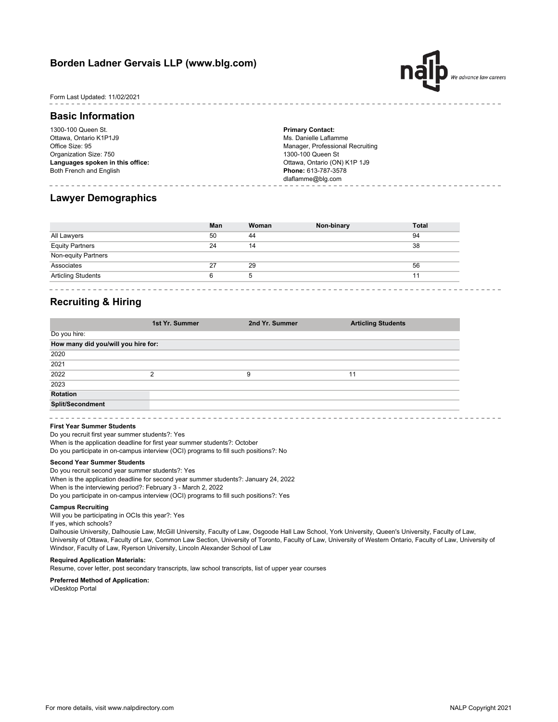# **Borden Ladner Gervais LLP (www.blg.com)**



### Form Last Updated: 11/02/2021

## **Basic Information**

1300-100 Queen St. Ottawa, Ontario K1P1J9 Office Size: 95 Organization Size: 750 **Languages spoken in this office:** Both French and English

**Primary Contact:** Ms. Danielle Laflamme Manager, Professional Recruiting 1300-100 Queen St Ottawa, Ontario (ON) K1P 1J9 **Phone:** 613-787-3578 dlaflamme@blg.com

## **Lawyer Demographics**

| 50 |    |    |
|----|----|----|
|    | 44 | 94 |
| 24 | 14 | 38 |
|    |    |    |
| 27 | 29 | 56 |
|    | b  | 11 |
|    |    |    |

## **Recruiting & Hiring**

| 1st Yr. Summer                      | 2nd Yr. Summer | <b>Articling Students</b> |
|-------------------------------------|----------------|---------------------------|
|                                     |                |                           |
| How many did you/will you hire for: |                |                           |
|                                     |                |                           |
|                                     |                |                           |
| ◠                                   | 9              | 11                        |
|                                     |                |                           |
|                                     |                |                           |
|                                     |                |                           |
|                                     |                |                           |

#### **First Year Summer Students**

When is the application deadline for first year summer students?: October Do you participate in on-campus interview (OCI) programs to fill such positions?: No Do you recruit first year summer students?: Yes

## **Second Year Summer Students**

When is the application deadline for second year summer students?: January 24, 2022 When is the interviewing period?: February 3 - March 2, 2022 Do you participate in on-campus interview (OCI) programs to fill such positions?: Yes Do you recruit second year summer students?: Yes

#### **Campus Recruiting**

Will you be participating in OCIs this year?: Yes If yes, which schools?

Dalhousie University, Dalhousie Law, McGill University, Faculty of Law, Osgoode Hall Law School, York University, Queen's University, Faculty of Law, University of Ottawa, Faculty of Law, Common Law Section, University of Toronto, Faculty of Law, University of Western Ontario, Faculty of Law, University of Windsor, Faculty of Law, Ryerson University, Lincoln Alexander School of Law

### **Required Application Materials:**

Resume, cover letter, post secondary transcripts, law school transcripts, list of upper year courses

#### **Preferred Method of Application:**

viDesktop Portal